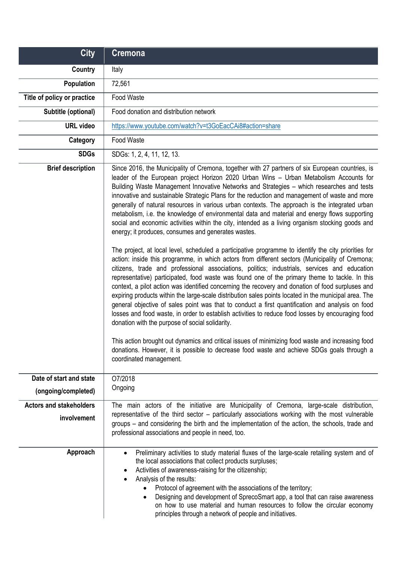| <b>City</b>                                   | <b>Cremona</b>                                                                                                                                                                                                                                                                                                                                                                                                                                                                                                                                                                                                                                                                                                                                                                                                                                                                                                                                                                                                                                                                                                                                                                                                                                                                                                                                                                                                                                                                                                                                                                                                                                                                                                                                                                                                                                                              |
|-----------------------------------------------|-----------------------------------------------------------------------------------------------------------------------------------------------------------------------------------------------------------------------------------------------------------------------------------------------------------------------------------------------------------------------------------------------------------------------------------------------------------------------------------------------------------------------------------------------------------------------------------------------------------------------------------------------------------------------------------------------------------------------------------------------------------------------------------------------------------------------------------------------------------------------------------------------------------------------------------------------------------------------------------------------------------------------------------------------------------------------------------------------------------------------------------------------------------------------------------------------------------------------------------------------------------------------------------------------------------------------------------------------------------------------------------------------------------------------------------------------------------------------------------------------------------------------------------------------------------------------------------------------------------------------------------------------------------------------------------------------------------------------------------------------------------------------------------------------------------------------------------------------------------------------------|
| Country                                       | Italy                                                                                                                                                                                                                                                                                                                                                                                                                                                                                                                                                                                                                                                                                                                                                                                                                                                                                                                                                                                                                                                                                                                                                                                                                                                                                                                                                                                                                                                                                                                                                                                                                                                                                                                                                                                                                                                                       |
| Population                                    | 72,561                                                                                                                                                                                                                                                                                                                                                                                                                                                                                                                                                                                                                                                                                                                                                                                                                                                                                                                                                                                                                                                                                                                                                                                                                                                                                                                                                                                                                                                                                                                                                                                                                                                                                                                                                                                                                                                                      |
| Title of policy or practice                   | Food Waste                                                                                                                                                                                                                                                                                                                                                                                                                                                                                                                                                                                                                                                                                                                                                                                                                                                                                                                                                                                                                                                                                                                                                                                                                                                                                                                                                                                                                                                                                                                                                                                                                                                                                                                                                                                                                                                                  |
| Subtitle (optional)                           | Food donation and distribution network                                                                                                                                                                                                                                                                                                                                                                                                                                                                                                                                                                                                                                                                                                                                                                                                                                                                                                                                                                                                                                                                                                                                                                                                                                                                                                                                                                                                                                                                                                                                                                                                                                                                                                                                                                                                                                      |
| <b>URL</b> video                              | https://www.youtube.com/watch?v=t3GoEacCAi8#action=share                                                                                                                                                                                                                                                                                                                                                                                                                                                                                                                                                                                                                                                                                                                                                                                                                                                                                                                                                                                                                                                                                                                                                                                                                                                                                                                                                                                                                                                                                                                                                                                                                                                                                                                                                                                                                    |
| Category                                      | Food Waste                                                                                                                                                                                                                                                                                                                                                                                                                                                                                                                                                                                                                                                                                                                                                                                                                                                                                                                                                                                                                                                                                                                                                                                                                                                                                                                                                                                                                                                                                                                                                                                                                                                                                                                                                                                                                                                                  |
| <b>SDGs</b>                                   | SDGs: 1, 2, 4, 11, 12, 13.                                                                                                                                                                                                                                                                                                                                                                                                                                                                                                                                                                                                                                                                                                                                                                                                                                                                                                                                                                                                                                                                                                                                                                                                                                                                                                                                                                                                                                                                                                                                                                                                                                                                                                                                                                                                                                                  |
| <b>Brief description</b>                      | Since 2016, the Municipality of Cremona, together with 27 partners of six European countries, is<br>leader of the European project Horizon 2020 Urban Wins - Urban Metabolism Accounts for<br>Building Waste Management Innovative Networks and Strategies - which researches and tests<br>innovative and sustainable Strategic Plans for the reduction and management of waste and more<br>generally of natural resources in various urban contexts. The approach is the integrated urban<br>metabolism, i.e. the knowledge of environmental data and material and energy flows supporting<br>social and economic activities within the city, intended as a living organism stocking goods and<br>energy; it produces, consumes and generates wastes.<br>The project, at local level, scheduled a participative programme to identify the city priorities for<br>action: inside this programme, in which actors from different sectors (Municipality of Cremona;<br>citizens, trade and professional associations, politics; industrials, services and education<br>representative) participated, food waste was found one of the primary theme to tackle. In this<br>context, a pilot action was identified concerning the recovery and donation of food surpluses and<br>expiring products within the large-scale distribution sales points located in the municipal area. The<br>general objective of sales point was that to conduct a first quantification and analysis on food<br>losses and food waste, in order to establish activities to reduce food losses by encouraging food<br>donation with the purpose of social solidarity.<br>This action brought out dynamics and critical issues of minimizing food waste and increasing food<br>donations. However, it is possible to decrease food waste and achieve SDGs goals through a<br>coordinated management. |
| Date of start and state                       | O7/2018                                                                                                                                                                                                                                                                                                                                                                                                                                                                                                                                                                                                                                                                                                                                                                                                                                                                                                                                                                                                                                                                                                                                                                                                                                                                                                                                                                                                                                                                                                                                                                                                                                                                                                                                                                                                                                                                     |
| (ongoing/completed)                           | Ongoing                                                                                                                                                                                                                                                                                                                                                                                                                                                                                                                                                                                                                                                                                                                                                                                                                                                                                                                                                                                                                                                                                                                                                                                                                                                                                                                                                                                                                                                                                                                                                                                                                                                                                                                                                                                                                                                                     |
| <b>Actors and stakeholders</b><br>involvement | The main actors of the initiative are Municipality of Cremona, large-scale distribution,<br>representative of the third sector – particularly associations working with the most vulnerable<br>groups – and considering the birth and the implementation of the action, the schools, trade and<br>professional associations and people in need, too.                                                                                                                                                                                                                                                                                                                                                                                                                                                                                                                                                                                                                                                                                                                                                                                                                                                                                                                                                                                                                                                                                                                                                                                                                                                                                                                                                                                                                                                                                                                        |
| Approach                                      | Preliminary activities to study material fluxes of the large-scale retailing system and of<br>$\bullet$<br>the local associations that collect products surpluses;<br>Activities of awareness-raising for the citizenship;<br>٠<br>Analysis of the results:<br>Protocol of agreement with the associations of the territory;<br>$\bullet$<br>Designing and development of SprecoSmart app, a tool that can raise awareness<br>$\bullet$<br>on how to use material and human resources to follow the circular economy<br>principles through a network of people and initiatives.                                                                                                                                                                                                                                                                                                                                                                                                                                                                                                                                                                                                                                                                                                                                                                                                                                                                                                                                                                                                                                                                                                                                                                                                                                                                                             |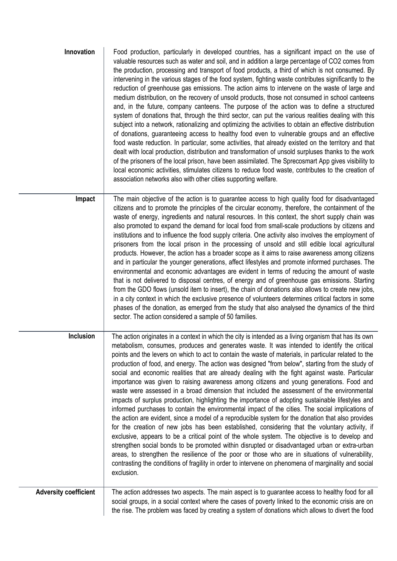| Innovation                   | Food production, particularly in developed countries, has a significant impact on the use of<br>valuable resources such as water and soil, and in addition a large percentage of CO2 comes from<br>the production, processing and transport of food products, a third of which is not consumed. By<br>intervening in the various stages of the food system, fighting waste contributes significantly to the<br>reduction of greenhouse gas emissions. The action aims to intervene on the waste of large and<br>medium distribution, on the recovery of unsold products, those not consumed in school canteens<br>and, in the future, company canteens. The purpose of the action was to define a structured<br>system of donations that, through the third sector, can put the various realities dealing with this<br>subject into a network, rationalizing and optimizing the activities to obtain an effective distribution<br>of donations, guaranteeing access to healthy food even to vulnerable groups and an effective<br>food waste reduction. In particular, some activities, that already existed on the territory and that<br>dealt with local production, distribution and transformation of unsold surpluses thanks to the work<br>of the prisoners of the local prison, have been assimilated. The Sprecosmart App gives visibility to<br>local economic activities, stimulates citizens to reduce food waste, contributes to the creation of<br>association networks also with other cities supporting welfare.                                |
|------------------------------|----------------------------------------------------------------------------------------------------------------------------------------------------------------------------------------------------------------------------------------------------------------------------------------------------------------------------------------------------------------------------------------------------------------------------------------------------------------------------------------------------------------------------------------------------------------------------------------------------------------------------------------------------------------------------------------------------------------------------------------------------------------------------------------------------------------------------------------------------------------------------------------------------------------------------------------------------------------------------------------------------------------------------------------------------------------------------------------------------------------------------------------------------------------------------------------------------------------------------------------------------------------------------------------------------------------------------------------------------------------------------------------------------------------------------------------------------------------------------------------------------------------------------------------------------------------|
| Impact                       | The main objective of the action is to guarantee access to high quality food for disadvantaged<br>citizens and to promote the principles of the circular economy, therefore, the containment of the<br>waste of energy, ingredients and natural resources. In this context, the short supply chain was<br>also promoted to expand the demand for local food from small-scale productions by citizens and<br>institutions and to influence the food supply criteria. One activity also involves the employment of<br>prisoners from the local prison in the processing of unsold and still edible local agricultural<br>products. However, the action has a broader scope as it aims to raise awareness among citizens<br>and in particular the younger generations, affect lifestyles and promote informed purchases. The<br>environmental and economic advantages are evident in terms of reducing the amount of waste<br>that is not delivered to disposal centres, of energy and of greenhouse gas emissions. Starting<br>from the GDO flows (unsold item to insert), the chain of donations also allows to create new jobs,<br>in a city context in which the exclusive presence of volunteers determines critical factors in some<br>phases of the donation, as emerged from the study that also analysed the dynamics of the third<br>sector. The action considered a sample of 50 families.                                                                                                                                                             |
| Inclusion                    | The action originates in a context in which the city is intended as a living organism that has its own<br>metabolism, consumes, produces and generates waste. It was intended to identify the critical<br>points and the levers on which to act to contain the waste of materials, in particular related to the<br>production of food, and energy. The action was designed "from below", starting from the study of<br>social and economic realities that are already dealing with the fight against waste. Particular<br>importance was given to raising awareness among citizens and young generations. Food and<br>waste were assessed in a broad dimension that included the assessment of the environmental<br>impacts of surplus production, highlighting the importance of adopting sustainable lifestyles and<br>informed purchases to contain the environmental impact of the cities. The social implications of<br>the action are evident, since a model of a reproducible system for the donation that also provides<br>for the creation of new jobs has been established, considering that the voluntary activity, if<br>exclusive, appears to be a critical point of the whole system. The objective is to develop and<br>strengthen social bonds to be promoted within disrupted or disadvantaged urban or extra-urban<br>areas, to strengthen the resilience of the poor or those who are in situations of vulnerability,<br>contrasting the conditions of fragility in order to intervene on phenomena of marginality and social<br>exclusion. |
| <b>Adversity coefficient</b> | The action addresses two aspects. The main aspect is to guarantee access to healthy food for all<br>social groups, in a social context where the cases of poverty linked to the economic crisis are on<br>the rise. The problem was faced by creating a system of donations which allows to divert the food                                                                                                                                                                                                                                                                                                                                                                                                                                                                                                                                                                                                                                                                                                                                                                                                                                                                                                                                                                                                                                                                                                                                                                                                                                                    |